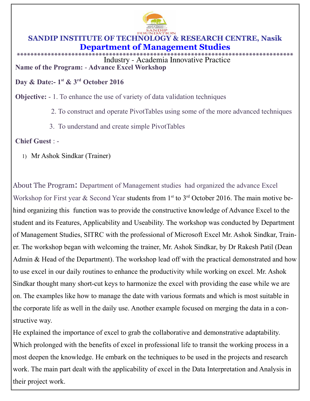

## SANDIP INSTITUTE OF TECHNOLOGY & RESEARCH CENTRE, Nasik **Department of Management Studies**

\*\*\*\*\*\*\*\*\*\*\*\*\*\* Industry - Academia Innovative Practice Name of the Program: - Advance Excel Workshop

Day & Date:- 1<sup>st</sup> & 3<sup>rd</sup> October 2016

**Objective:** - 1. To enhance the use of variety of data validation techniques

- 2. To construct and operate PivotTables using some of the more advanced techniques
- 3. To understand and create simple PivotTables

**Chief Guest: -**

1) Mr Ashok Sindkar (Trainer)

About The Program: Department of Management studies had organized the advance Excel Workshop for First year & Second Year students from  $1<sup>st</sup>$  to  $3<sup>rd</sup>$  October 2016. The main motive behind organizing this function was to provide the constructive knowledge of Advance Excel to the student and its Features, Applicability and Useability. The workshop was conducted by Department of Management Studies, SITRC with the professional of Microsoft Excel Mr. Ashok Sindkar, Trainer. The workshop began with welcoming the trainer, Mr. Ashok Sindkar, by Dr Rakesh Patil (Dean Admin & Head of the Department). The workshop lead off with the practical demonstrated and how to use excel in our daily routines to enhance the productivity while working on excel. Mr. Ashok Sindkar thought many short-cut keys to harmonize the excel with providing the ease while we are on. The examples like how to manage the date with various formats and which is most suitable in the corporate life as well in the daily use. Another example focused on merging the data in a constructive way.

He explained the importance of excel to grab the collaborative and demonstrative adaptability. Which prolonged with the benefits of excel in professional life to transit the working process in a most deepen the knowledge. He embark on the techniques to be used in the projects and research work. The main part dealt with the applicability of excel in the Data Interpretation and Analysis in their project work.